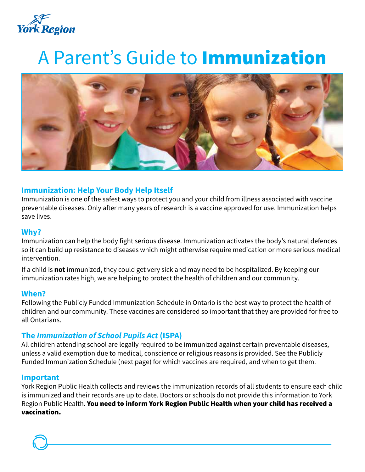

# A Parent's Guide to Immunization



### **Immunization: Help Your Body Help Itself**

Immunization is one of the safest ways to protect you and your child from illness associated with vaccine preventable diseases. Only after many years of research is a vaccine approved for use. Immunization helps save lives.

#### **Why?**

Immunization can help the body fight serious disease. Immunization activates the body's natural defences so it can build up resistance to diseases which might otherwise require medication or more serious medical intervention.

If a child is **not** immunized, they could get very sick and may need to be hospitalized. By keeping our immunization rates high, we are helping to protect the health of children and our community.

#### **When?**

Following the Publicly Funded Immunization Schedule in Ontario is the best way to protect the health of children and our community. These vaccines are considered so important that they are provided for free to all Ontarians.

#### **The** *Immunization of School Pupils Act* **(ISPA)**

All children attending school are legally required to be immunized against certain preventable diseases, unless a valid exemption due to medical, conscience or religious reasons is provided. See the Publicly Funded Immunization Schedule (next page) for which vaccines are required, and when to get them.

#### **Important**

York Region Public Health collects and reviews the immunization records of all students to ensure each child is immunized and their records are up to date. Doctors or schools do not provide this information to York Region Public Health. You need to inform York Region Public Health when your child has received a vaccination.